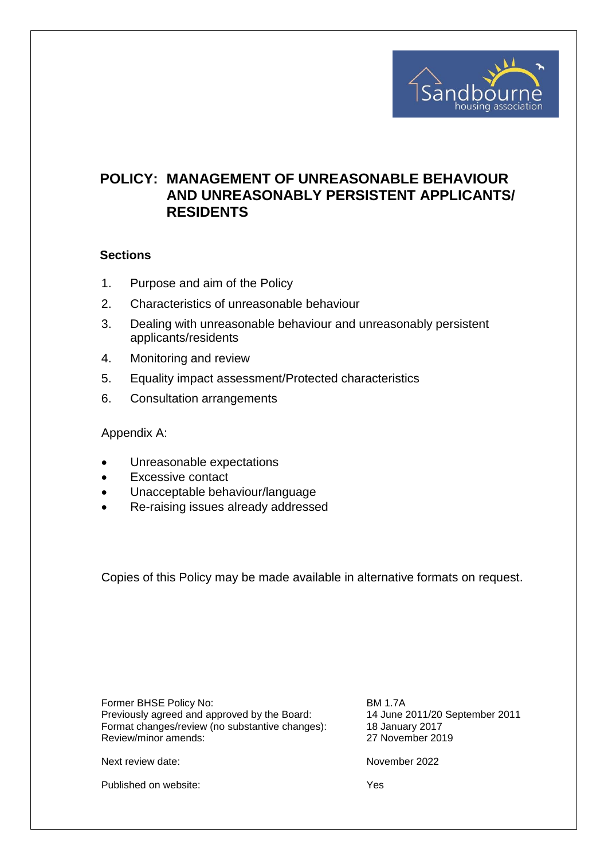

# **POLICY: MANAGEMENT OF UNREASONABLE BEHAVIOUR AND UNREASONABLY PERSISTENT APPLICANTS/ RESIDENTS**

#### **Sections**

- 1. Purpose and aim of the Policy
- 2. Characteristics of unreasonable behaviour
- 3. Dealing with unreasonable behaviour and unreasonably persistent applicants/residents
- 4. Monitoring and review
- 5. Equality impact assessment/Protected characteristics
- 6. Consultation arrangements

Appendix A:

- Unreasonable expectations
- Excessive contact
- Unacceptable behaviour/language
- Re-raising issues already addressed

Copies of this Policy may be made available in alternative formats on request.

Former BHSE Policy No: Exercise 2011<br>Previously agreed and approved by the Board: The local 14 June 2011/20 September 2011 Previously agreed and approved by the Board: Format changes/review (no substantive changes): 18 January 2017 Review/minor amends: 27 November 2019

Next review date: November 2022

Published on website: Yes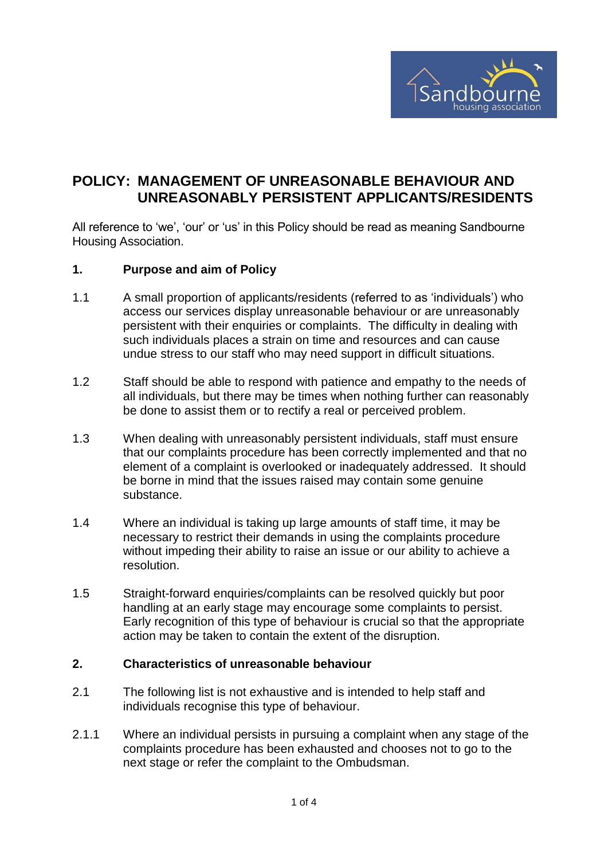

# **POLICY: MANAGEMENT OF UNREASONABLE BEHAVIOUR AND UNREASONABLY PERSISTENT APPLICANTS/RESIDENTS**

All reference to 'we', 'our' or 'us' in this Policy should be read as meaning Sandbourne Housing Association.

## **1. Purpose and aim of Policy**

- 1.1 A small proportion of applicants/residents (referred to as 'individuals') who access our services display unreasonable behaviour or are unreasonably persistent with their enquiries or complaints. The difficulty in dealing with such individuals places a strain on time and resources and can cause undue stress to our staff who may need support in difficult situations.
- 1.2 Staff should be able to respond with patience and empathy to the needs of all individuals, but there may be times when nothing further can reasonably be done to assist them or to rectify a real or perceived problem.
- 1.3 When dealing with unreasonably persistent individuals, staff must ensure that our complaints procedure has been correctly implemented and that no element of a complaint is overlooked or inadequately addressed. It should be borne in mind that the issues raised may contain some genuine substance.
- 1.4 Where an individual is taking up large amounts of staff time, it may be necessary to restrict their demands in using the complaints procedure without impeding their ability to raise an issue or our ability to achieve a resolution.
- 1.5 Straight-forward enquiries/complaints can be resolved quickly but poor handling at an early stage may encourage some complaints to persist. Early recognition of this type of behaviour is crucial so that the appropriate action may be taken to contain the extent of the disruption.

## **2. Characteristics of unreasonable behaviour**

- 2.1 The following list is not exhaustive and is intended to help staff and individuals recognise this type of behaviour.
- 2.1.1 Where an individual persists in pursuing a complaint when any stage of the complaints procedure has been exhausted and chooses not to go to the next stage or refer the complaint to the Ombudsman.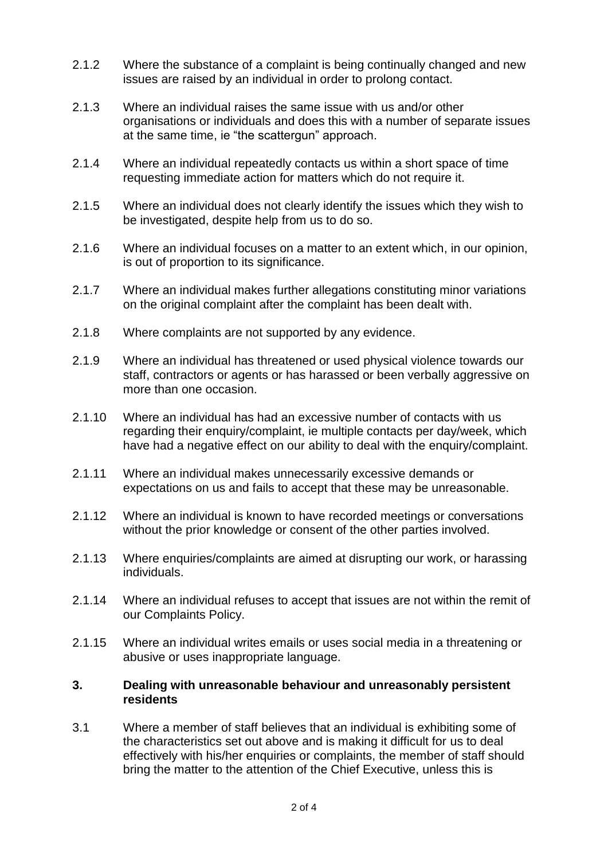- 2.1.2 Where the substance of a complaint is being continually changed and new issues are raised by an individual in order to prolong contact.
- 2.1.3 Where an individual raises the same issue with us and/or other organisations or individuals and does this with a number of separate issues at the same time, ie "the scattergun" approach.
- 2.1.4 Where an individual repeatedly contacts us within a short space of time requesting immediate action for matters which do not require it.
- 2.1.5 Where an individual does not clearly identify the issues which they wish to be investigated, despite help from us to do so.
- 2.1.6 Where an individual focuses on a matter to an extent which, in our opinion, is out of proportion to its significance.
- 2.1.7 Where an individual makes further allegations constituting minor variations on the original complaint after the complaint has been dealt with.
- 2.1.8 Where complaints are not supported by any evidence.
- 2.1.9 Where an individual has threatened or used physical violence towards our staff, contractors or agents or has harassed or been verbally aggressive on more than one occasion.
- 2.1.10 Where an individual has had an excessive number of contacts with us regarding their enquiry/complaint, ie multiple contacts per day/week, which have had a negative effect on our ability to deal with the enquiry/complaint.
- 2.1.11 Where an individual makes unnecessarily excessive demands or expectations on us and fails to accept that these may be unreasonable.
- 2.1.12 Where an individual is known to have recorded meetings or conversations without the prior knowledge or consent of the other parties involved.
- 2.1.13 Where enquiries/complaints are aimed at disrupting our work, or harassing individuals.
- 2.1.14 Where an individual refuses to accept that issues are not within the remit of our Complaints Policy.
- 2.1.15 Where an individual writes emails or uses social media in a threatening or abusive or uses inappropriate language.

## **3. Dealing with unreasonable behaviour and unreasonably persistent residents**

3.1 Where a member of staff believes that an individual is exhibiting some of the characteristics set out above and is making it difficult for us to deal effectively with his/her enquiries or complaints, the member of staff should bring the matter to the attention of the Chief Executive, unless this is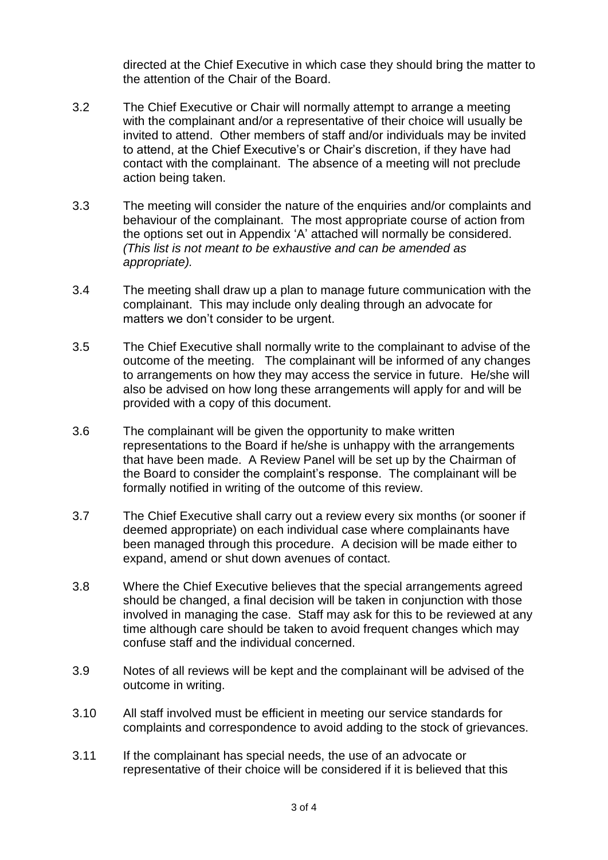directed at the Chief Executive in which case they should bring the matter to the attention of the Chair of the Board.

- 3.2 The Chief Executive or Chair will normally attempt to arrange a meeting with the complainant and/or a representative of their choice will usually be invited to attend. Other members of staff and/or individuals may be invited to attend, at the Chief Executive's or Chair's discretion, if they have had contact with the complainant. The absence of a meeting will not preclude action being taken.
- 3.3 The meeting will consider the nature of the enquiries and/or complaints and behaviour of the complainant. The most appropriate course of action from the options set out in Appendix 'A' attached will normally be considered. *(This list is not meant to be exhaustive and can be amended as appropriate).*
- 3.4 The meeting shall draw up a plan to manage future communication with the complainant. This may include only dealing through an advocate for matters we don't consider to be urgent.
- 3.5 The Chief Executive shall normally write to the complainant to advise of the outcome of the meeting. The complainant will be informed of any changes to arrangements on how they may access the service in future. He/she will also be advised on how long these arrangements will apply for and will be provided with a copy of this document.
- 3.6 The complainant will be given the opportunity to make written representations to the Board if he/she is unhappy with the arrangements that have been made. A Review Panel will be set up by the Chairman of the Board to consider the complaint's response. The complainant will be formally notified in writing of the outcome of this review.
- 3.7 The Chief Executive shall carry out a review every six months (or sooner if deemed appropriate) on each individual case where complainants have been managed through this procedure. A decision will be made either to expand, amend or shut down avenues of contact.
- 3.8 Where the Chief Executive believes that the special arrangements agreed should be changed, a final decision will be taken in conjunction with those involved in managing the case. Staff may ask for this to be reviewed at any time although care should be taken to avoid frequent changes which may confuse staff and the individual concerned.
- 3.9 Notes of all reviews will be kept and the complainant will be advised of the outcome in writing.
- 3.10 All staff involved must be efficient in meeting our service standards for complaints and correspondence to avoid adding to the stock of grievances.
- 3.11 If the complainant has special needs, the use of an advocate or representative of their choice will be considered if it is believed that this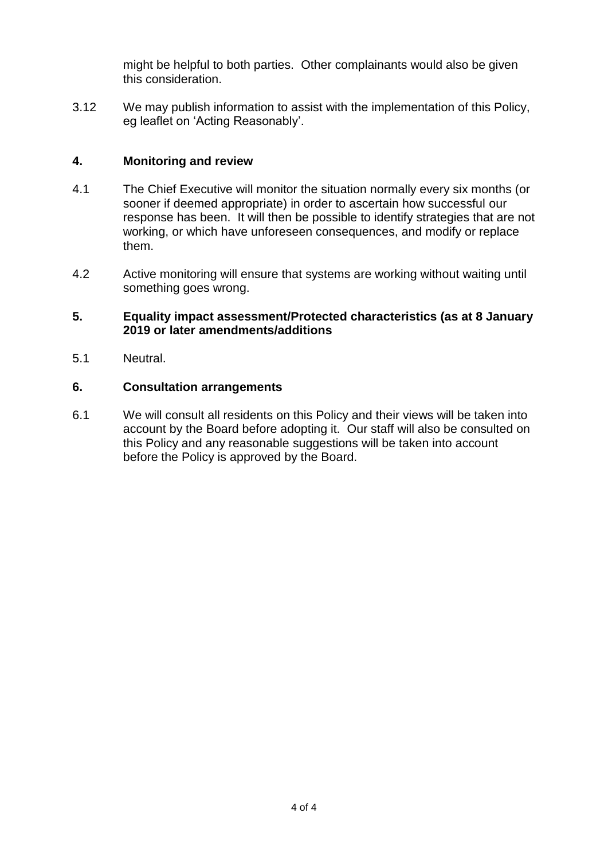might be helpful to both parties. Other complainants would also be given this consideration.

3.12 We may publish information to assist with the implementation of this Policy, eg leaflet on 'Acting Reasonably'.

# **4. Monitoring and review**

- 4.1 The Chief Executive will monitor the situation normally every six months (or sooner if deemed appropriate) in order to ascertain how successful our response has been. It will then be possible to identify strategies that are not working, or which have unforeseen consequences, and modify or replace them.
- 4.2 Active monitoring will ensure that systems are working without waiting until something goes wrong.

# **5. Equality impact assessment/Protected characteristics (as at 8 January 2019 or later amendments/additions**

5.1 Neutral.

## **6. Consultation arrangements**

6.1 We will consult all residents on this Policy and their views will be taken into account by the Board before adopting it. Our staff will also be consulted on this Policy and any reasonable suggestions will be taken into account before the Policy is approved by the Board.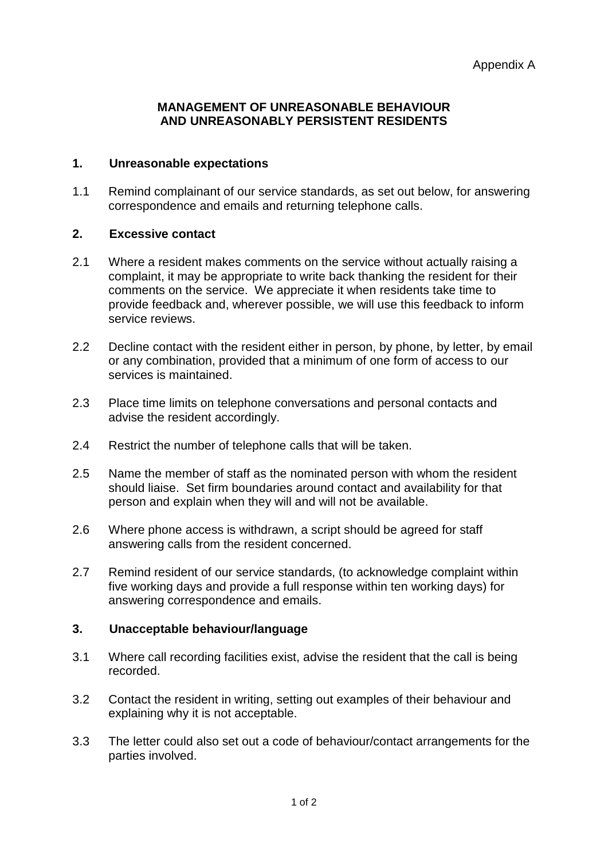## **MANAGEMENT OF UNREASONABLE BEHAVIOUR AND UNREASONABLY PERSISTENT RESIDENTS**

# **1. Unreasonable expectations**

1.1 Remind complainant of our service standards, as set out below, for answering correspondence and emails and returning telephone calls.

#### **2. Excessive contact**

- 2.1 Where a resident makes comments on the service without actually raising a complaint, it may be appropriate to write back thanking the resident for their comments on the service. We appreciate it when residents take time to provide feedback and, wherever possible, we will use this feedback to inform service reviews.
- 2.2 Decline contact with the resident either in person, by phone, by letter, by email or any combination, provided that a minimum of one form of access to our services is maintained.
- 2.3 Place time limits on telephone conversations and personal contacts and advise the resident accordingly.
- 2.4 Restrict the number of telephone calls that will be taken.
- 2.5 Name the member of staff as the nominated person with whom the resident should liaise. Set firm boundaries around contact and availability for that person and explain when they will and will not be available.
- 2.6 Where phone access is withdrawn, a script should be agreed for staff answering calls from the resident concerned.
- 2.7 Remind resident of our service standards, (to acknowledge complaint within five working days and provide a full response within ten working days) for answering correspondence and emails.

## **3. Unacceptable behaviour/language**

- 3.1 Where call recording facilities exist, advise the resident that the call is being recorded.
- 3.2 Contact the resident in writing, setting out examples of their behaviour and explaining why it is not acceptable.
- 3.3 The letter could also set out a code of behaviour/contact arrangements for the parties involved.